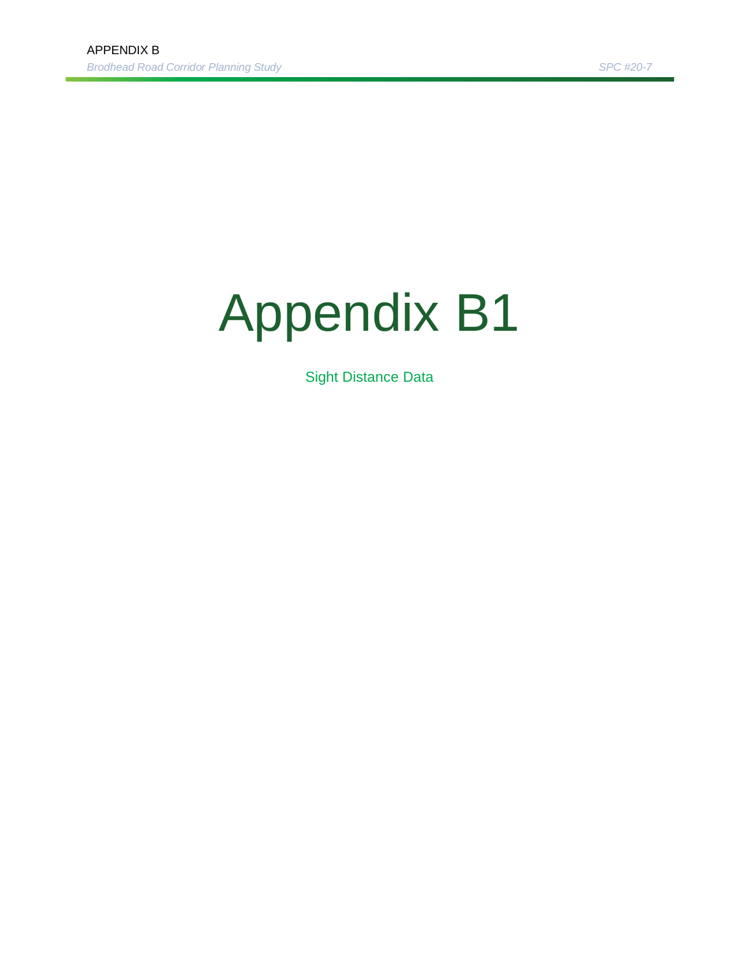## Appendix B1

Sight Distance Data